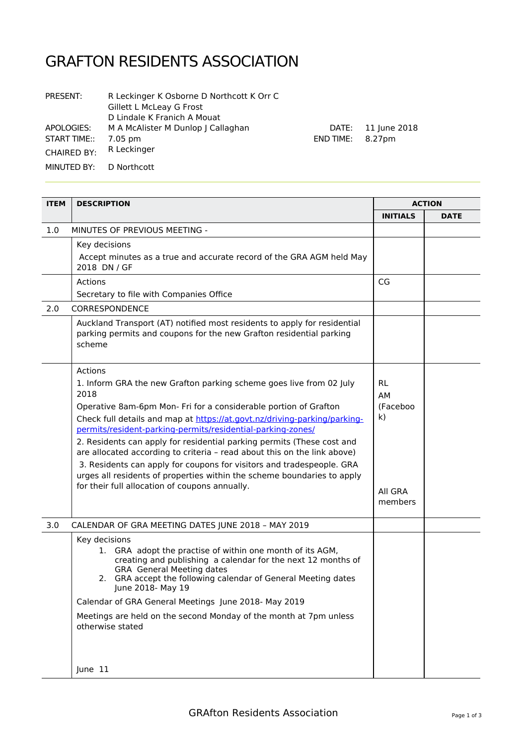## GRAFTON RESIDENTS ASSOCIATION

| PRESENT:            | R Leckinger K Osborne D Northcott K Orr C<br>Gillett L McLeay G Frost<br>D Lindale K Franich A Mouat |
|---------------------|------------------------------------------------------------------------------------------------------|
| APOLOGIES:          | M A McAlister M Dunlop   Callaghan                                                                   |
| <b>START TIME::</b> | 7.05 pm                                                                                              |
| <b>CHAIRED BY:</b>  | R Leckinger                                                                                          |
| MINUTED BY:         | D Northcott                                                                                          |

| <b>ITEM</b> | <b>DESCRIPTION</b>                                                                                                                                                                                                                                                                                                                                       | <b>ACTION</b>            |             |
|-------------|----------------------------------------------------------------------------------------------------------------------------------------------------------------------------------------------------------------------------------------------------------------------------------------------------------------------------------------------------------|--------------------------|-------------|
|             |                                                                                                                                                                                                                                                                                                                                                          | <b>INITIALS</b>          | <b>DATE</b> |
| 1.0         | MINUTES OF PREVIOUS MEETING -                                                                                                                                                                                                                                                                                                                            |                          |             |
|             | Key decisions<br>Accept minutes as a true and accurate record of the GRA AGM held May<br>2018 DN / GF                                                                                                                                                                                                                                                    |                          |             |
|             | Actions                                                                                                                                                                                                                                                                                                                                                  | CG                       |             |
|             | Secretary to file with Companies Office                                                                                                                                                                                                                                                                                                                  |                          |             |
| 2.0         | CORRESPONDENCE                                                                                                                                                                                                                                                                                                                                           |                          |             |
|             | Auckland Transport (AT) notified most residents to apply for residential<br>parking permits and coupons for the new Grafton residential parking<br>scheme                                                                                                                                                                                                |                          |             |
|             | Actions                                                                                                                                                                                                                                                                                                                                                  |                          |             |
|             | 1. Inform GRA the new Grafton parking scheme goes live from 02 July<br>2018                                                                                                                                                                                                                                                                              | <b>RL</b><br>AM          |             |
|             | Operative 8am-6pm Mon- Fri for a considerable portion of Grafton<br>Check full details and map at https://at.govt.nz/driving-parking/parking-<br>permits/resident-parking-permits/residential-parking-zones/                                                                                                                                             | (Faceboo<br>$\mathsf{k}$ |             |
|             | 2. Residents can apply for residential parking permits (These cost and<br>are allocated according to criteria - read about this on the link above)<br>3. Residents can apply for coupons for visitors and tradespeople. GRA<br>urges all residents of properties within the scheme boundaries to apply<br>for their full allocation of coupons annually. | All GRA<br>members       |             |
| 3.0         | CALENDAR OF GRA MEETING DATES JUNE 2018 - MAY 2019                                                                                                                                                                                                                                                                                                       |                          |             |
|             | Key decisions<br>1. GRA adopt the practise of within one month of its AGM,<br>creating and publishing a calendar for the next 12 months of<br><b>GRA</b> General Meeting dates<br>2. GRA accept the following calendar of General Meeting dates<br>June 2018- May 19<br>Calendar of GRA General Meetings June 2018- May 2019                             |                          |             |
|             | Meetings are held on the second Monday of the month at 7pm unless<br>otherwise stated                                                                                                                                                                                                                                                                    |                          |             |
|             | June 11                                                                                                                                                                                                                                                                                                                                                  |                          |             |

DATE: 11 June 2018

END TIME: 8.27pm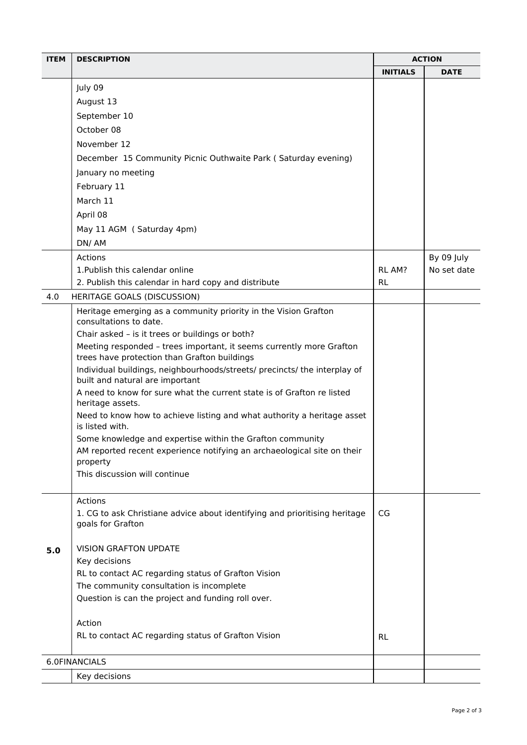| <b>ITEM</b>   | <b>DESCRIPTION</b>                                                                                                   |                 | <b>ACTION</b> |  |
|---------------|----------------------------------------------------------------------------------------------------------------------|-----------------|---------------|--|
|               |                                                                                                                      | <b>INITIALS</b> | <b>DATE</b>   |  |
|               | July 09                                                                                                              |                 |               |  |
|               | August 13                                                                                                            |                 |               |  |
|               | September 10                                                                                                         |                 |               |  |
|               | October 08                                                                                                           |                 |               |  |
|               | November 12                                                                                                          |                 |               |  |
|               | December 15 Community Picnic Outhwaite Park (Saturday evening)                                                       |                 |               |  |
|               | January no meeting                                                                                                   |                 |               |  |
|               | February 11                                                                                                          |                 |               |  |
|               | March 11                                                                                                             |                 |               |  |
|               | April 08                                                                                                             |                 |               |  |
|               | May 11 AGM (Saturday 4pm)                                                                                            |                 |               |  |
|               | DN/AM                                                                                                                |                 |               |  |
|               | Actions                                                                                                              |                 | By 09 July    |  |
|               | 1. Publish this calendar online                                                                                      | <b>RL AM?</b>   | No set date   |  |
|               | 2. Publish this calendar in hard copy and distribute                                                                 | <b>RL</b>       |               |  |
| 4.0           | <b>HERITAGE GOALS (DISCUSSION)</b>                                                                                   |                 |               |  |
|               | Heritage emerging as a community priority in the Vision Grafton                                                      |                 |               |  |
|               | consultations to date.                                                                                               |                 |               |  |
|               | Chair asked - is it trees or buildings or both?                                                                      |                 |               |  |
|               | Meeting responded - trees important, it seems currently more Grafton<br>trees have protection than Grafton buildings |                 |               |  |
|               | Individual buildings, neighbourhoods/streets/ precincts/ the interplay of<br>built and natural are important         |                 |               |  |
|               | A need to know for sure what the current state is of Grafton re listed<br>heritage assets.                           |                 |               |  |
|               | Need to know how to achieve listing and what authority a heritage asset<br>is listed with.                           |                 |               |  |
|               | Some knowledge and expertise within the Grafton community                                                            |                 |               |  |
|               | AM reported recent experience notifying an archaeological site on their                                              |                 |               |  |
|               | property<br>This discussion will continue                                                                            |                 |               |  |
|               |                                                                                                                      |                 |               |  |
|               | Actions                                                                                                              |                 |               |  |
|               | 1. CG to ask Christiane advice about identifying and prioritising heritage                                           | CG              |               |  |
|               | goals for Grafton                                                                                                    |                 |               |  |
| 5.0           | <b>VISION GRAFTON UPDATE</b>                                                                                         |                 |               |  |
|               | Key decisions                                                                                                        |                 |               |  |
|               | RL to contact AC regarding status of Grafton Vision                                                                  |                 |               |  |
|               | The community consultation is incomplete                                                                             |                 |               |  |
|               | Question is can the project and funding roll over.                                                                   |                 |               |  |
|               | Action                                                                                                               |                 |               |  |
|               | RL to contact AC regarding status of Grafton Vision                                                                  |                 |               |  |
|               |                                                                                                                      | <b>RL</b>       |               |  |
| 6.0FINANCIALS |                                                                                                                      |                 |               |  |
|               | Key decisions                                                                                                        |                 |               |  |